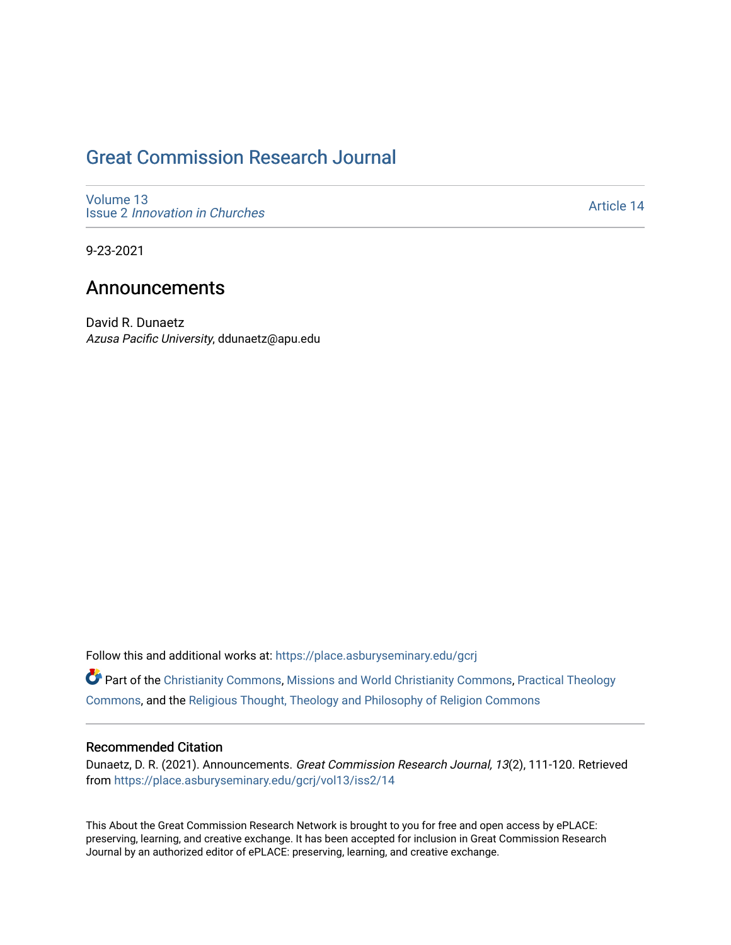### [Great Commission Research Journal](https://place.asburyseminary.edu/gcrj)

[Volume 13](https://place.asburyseminary.edu/gcrj/vol13) Issue 2 [Innovation in Churches](https://place.asburyseminary.edu/gcrj/vol13/iss2)

[Article 14](https://place.asburyseminary.edu/gcrj/vol13/iss2/14) 

9-23-2021

### Announcements

David R. Dunaetz Azusa Pacific University, ddunaetz@apu.edu

Follow this and additional works at: [https://place.asburyseminary.edu/gcrj](https://place.asburyseminary.edu/gcrj?utm_source=place.asburyseminary.edu%2Fgcrj%2Fvol13%2Fiss2%2F14&utm_medium=PDF&utm_campaign=PDFCoverPages) 

Part of the [Christianity Commons,](http://network.bepress.com/hgg/discipline/1181?utm_source=place.asburyseminary.edu%2Fgcrj%2Fvol13%2Fiss2%2F14&utm_medium=PDF&utm_campaign=PDFCoverPages) [Missions and World Christianity Commons](http://network.bepress.com/hgg/discipline/1187?utm_source=place.asburyseminary.edu%2Fgcrj%2Fvol13%2Fiss2%2F14&utm_medium=PDF&utm_campaign=PDFCoverPages), [Practical Theology](http://network.bepress.com/hgg/discipline/1186?utm_source=place.asburyseminary.edu%2Fgcrj%2Fvol13%2Fiss2%2F14&utm_medium=PDF&utm_campaign=PDFCoverPages)  [Commons](http://network.bepress.com/hgg/discipline/1186?utm_source=place.asburyseminary.edu%2Fgcrj%2Fvol13%2Fiss2%2F14&utm_medium=PDF&utm_campaign=PDFCoverPages), and the [Religious Thought, Theology and Philosophy of Religion Commons](http://network.bepress.com/hgg/discipline/544?utm_source=place.asburyseminary.edu%2Fgcrj%2Fvol13%2Fiss2%2F14&utm_medium=PDF&utm_campaign=PDFCoverPages) 

#### Recommended Citation

Dunaetz, D. R. (2021). Announcements. Great Commission Research Journal, 13(2), 111-120. Retrieved from [https://place.asburyseminary.edu/gcrj/vol13/iss2/14](https://place.asburyseminary.edu/gcrj/vol13/iss2/14?utm_source=place.asburyseminary.edu%2Fgcrj%2Fvol13%2Fiss2%2F14&utm_medium=PDF&utm_campaign=PDFCoverPages) 

This About the Great Commission Research Network is brought to you for free and open access by ePLACE: preserving, learning, and creative exchange. It has been accepted for inclusion in Great Commission Research Journal by an authorized editor of ePLACE: preserving, learning, and creative exchange.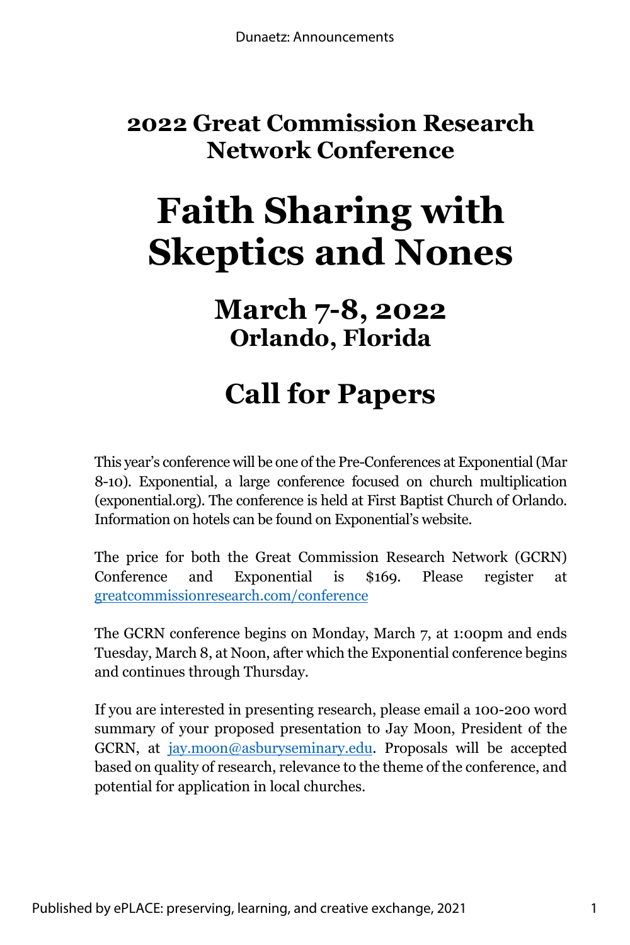### **2022 Great Commission Research Network Conference**

# **Faith Sharing with Skeptics and Nones**

### **March 7-8, 2022 Orlando, Florida**

## **Call for Papers**

This year's conference will be one of the Pre-Conferences at Exponential (Mar 8-10). Exponential, a large conference focused on church multiplication (exponential.org). The conference is held at First Baptist Church of Orlando. Information on hotels can be found on Exponential's website.

The price for both the Great Commission Research Network (GCRN) Conference and Exponential is \$169. Please register at greatcommissionresearch.com/conference

The GCRN conference begins on Monday, March 7, at 1:00pm and ends Tuesday, March 8, at Noon, after which the Exponential conference begins and continues through Thursday.

If you are interested in presenting research, please email a 100-200 word summary of your proposed presentation to Jay Moon, President of the GCRN, at jay.moon@asburyseminary.edu. Proposals will be accepted based on quality of research, relevance to the theme of the conference, and potential for application in local churches.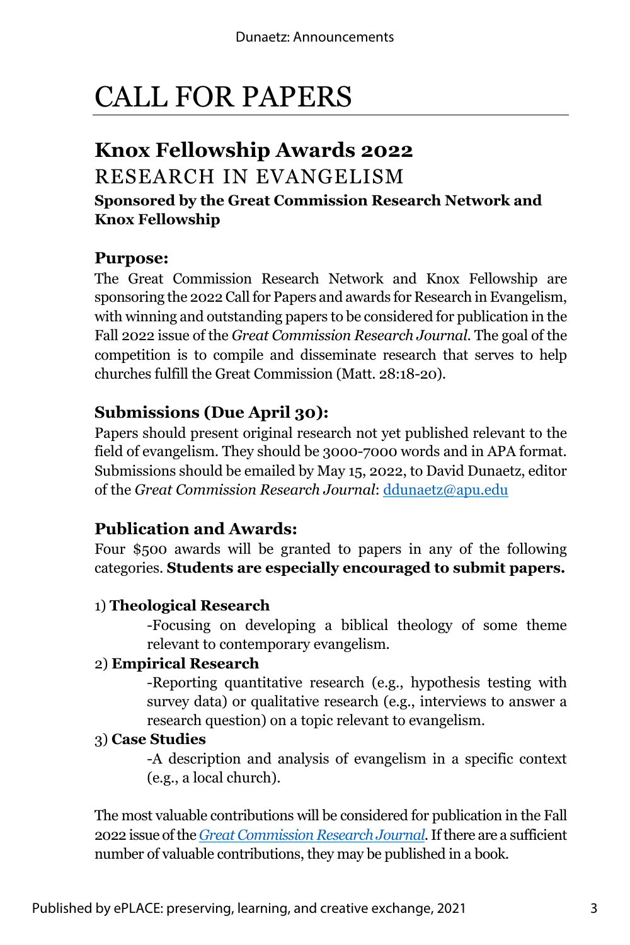# CALL FOR PAPERS

### **Knox Fellowship Awards 2022**

### RESEARCH IN EVANGELISM

#### **Sponsored by the Great Commission Research Network and Knox Fellowship**

#### **Purpose:**

The Great Commission Research Network and Knox Fellowship are sponsoring the 2022 Call for Papers and awards for Research in Evangelism, with winning and outstanding papers to be considered for publication in the Fall 2022 issue of the *Great Commission Research Journal*. The goal of the competition is to compile and disseminate research that serves to help churches fulfill the Great Commission (Matt. 28:18-20).

### **Submissions (Due April 30):**

Papers should present original research not yet published relevant to the field of evangelism. They should be 3000-7000 words and in APA format. Submissions should be emailed by May 15, 2022, to David Dunaetz, editor of the *Great Commission Research Journal*: ddunaetz@apu.edu

### **Publication and Awards:**

Four \$500 awards will be granted to papers in any of the following categories. **Students are especially encouraged to submit papers.**

#### 1) **Theological Research**

-Focusing on developing a biblical theology of some theme relevant to contemporary evangelism.

#### 2) **Empirical Research**

-Reporting quantitative research (e.g., hypothesis testing with survey data) or qualitative research (e.g., interviews to answer a research question) on a topic relevant to evangelism.

#### 3) **Case Studies**

-A description and analysis of evangelism in a specific context (e.g., a local church).

The most valuable contributions will be considered for publication in the Fall 2022 issue of the *Great Commission Research Journal*.If there are a sufficient number of valuable contributions, they may be published in a book.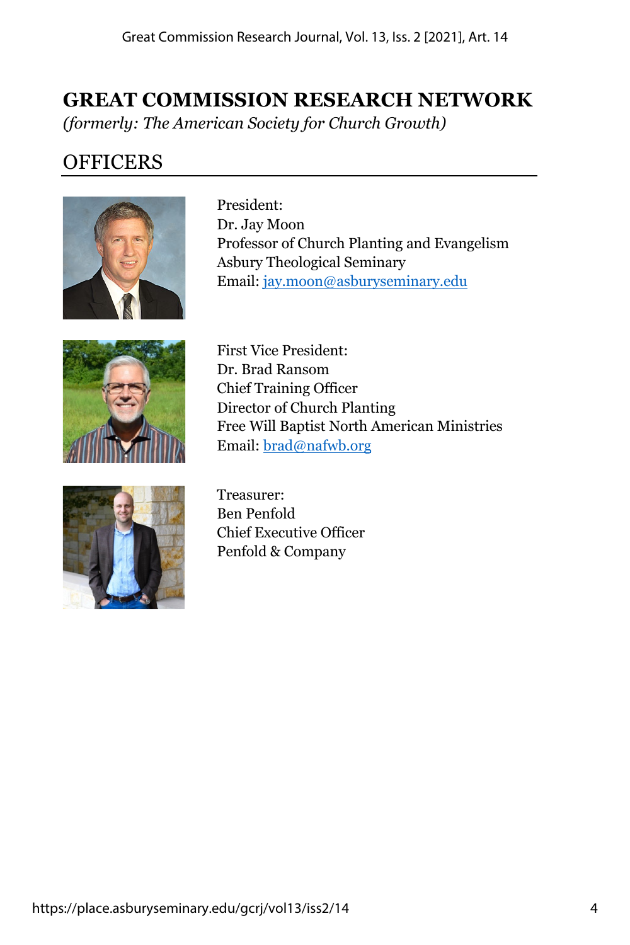### **GREAT COMMISSION RESEARCH NETWORK**

*(formerly: The American Society for Church Growth)*

### **OFFICERS**



President: Dr. Jay Moon Professor of Church Planting and Evangelism Asbury Theological Seminary Email: jay.moon@asburyseminary.edu



First Vice President: Dr. Brad Ransom Chief Training Officer Director of Church Planting Free Will Baptist North American Ministries Email: brad@nafwb.org



Treasurer: Ben Penfold Chief Executive Officer Penfold & Company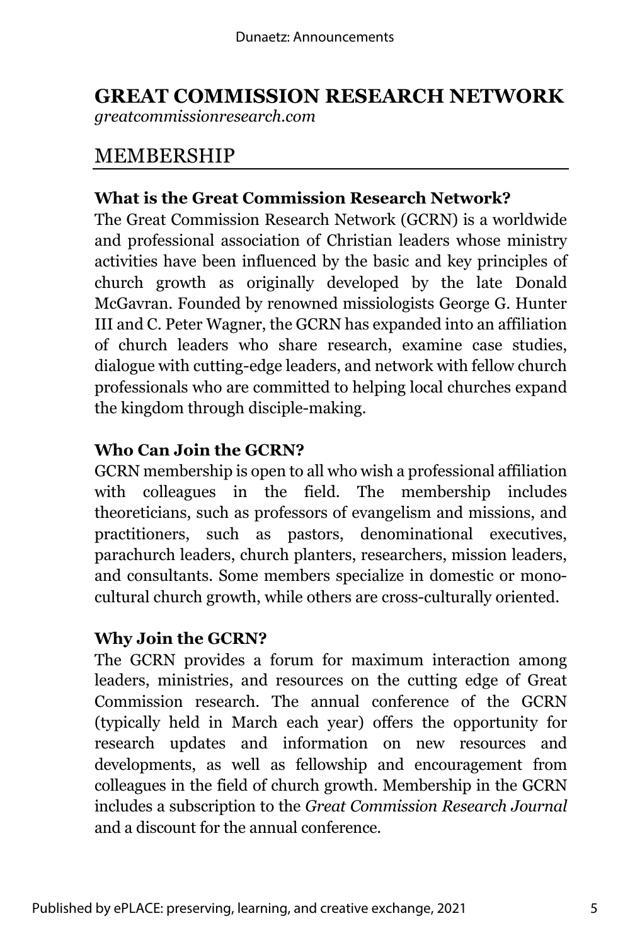### **GREAT COMMISSION RESEARCH NETWORK**

*greatcommissionresearch.com*

### MEMBERSHIP

### **What is the Great Commission Research Network?**

The Great Commission Research Network (GCRN) is a worldwide and professional association of Christian leaders whose ministry activities have been influenced by the basic and key principles of church growth as originally developed by the late Donald McGavran. Founded by renowned missiologists George G. Hunter III and C. Peter Wagner, the GCRN has expanded into an affiliation of church leaders who share research, examine case studies, dialogue with cutting-edge leaders, and network with fellow church professionals who are committed to helping local churches expand the kingdom through disciple-making.

#### **Who Can Join the GCRN?**

GCRN membership is open to all who wish a professional affiliation with colleagues in the field. The membership includes theoreticians, such as professors of evangelism and missions, and practitioners, such as pastors, denominational executives, parachurch leaders, church planters, researchers, mission leaders, and consultants. Some members specialize in domestic or monocultural church growth, while others are cross-culturally oriented.

#### **Why Join the GCRN?**

The GCRN provides a forum for maximum interaction among leaders, ministries, and resources on the cutting edge of Great Commission research. The annual conference of the GCRN (typically held in March each year) offers the opportunity for research updates and information on new resources and developments, as well as fellowship and encouragement from colleagues in the field of church growth. Membership in the GCRN includes a subscription to the *Great Commission Research Journal* and a discount for the annual conference.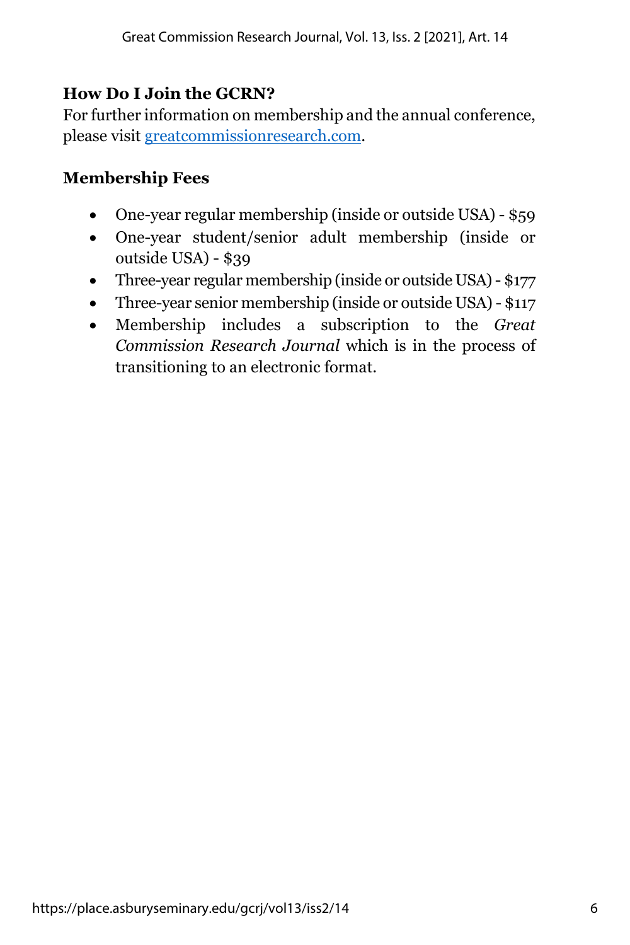### **How Do I Join the GCRN?**

For further information on membership and the annual conference, please visit greatcommissionresearch.com.

### **Membership Fees**

- One-year regular membership (inside or outside USA) \$59
- One-year student/senior adult membership (inside or outside USA) - \$39
- Three-year regular membership (inside or outside USA) \$177
- Three-year senior membership (inside or outside USA) \$117
- Membership includes a subscription to the *Great Commission Research Journal* which is in the process of transitioning to an electronic format.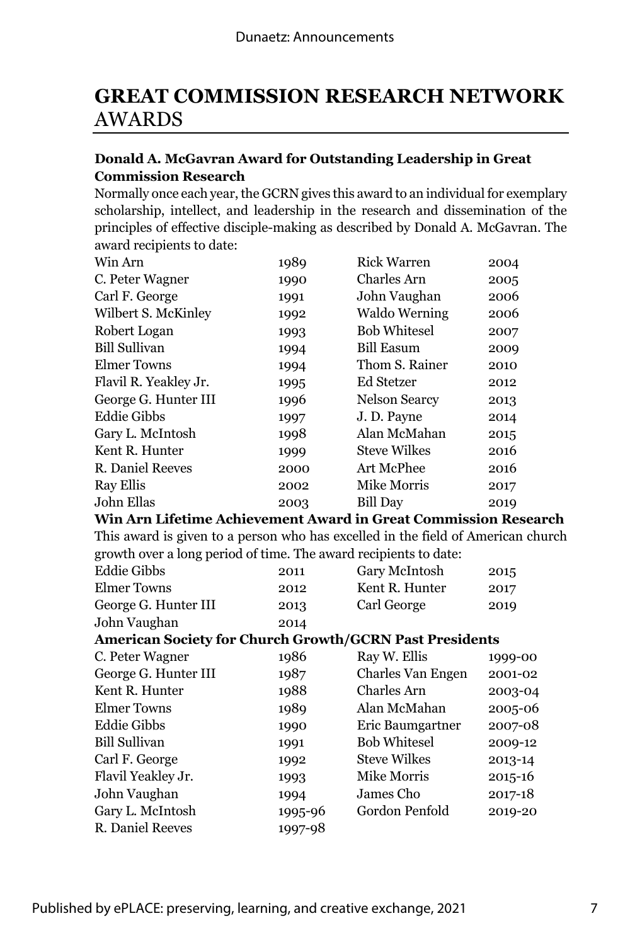### **GREAT COMMISSION RESEARCH NETWORK** AWARDS

#### **Donald A. McGavran Award for Outstanding Leadership in Great Commission Research**

Normally once each year, the GCRN gives this award to an individual for exemplary scholarship, intellect, and leadership in the research and dissemination of the principles of effective disciple-making as described by Donald A. McGavran. The award recipients to date:

| Win Arn                                                                          | 1989    | <b>Rick Warren</b>   | 2004    |
|----------------------------------------------------------------------------------|---------|----------------------|---------|
| C. Peter Wagner                                                                  | 1990    | Charles Arn          | 2005    |
| Carl F. George                                                                   | 1991    | John Vaughan         | 2006    |
| Wilbert S. McKinley                                                              | 1992    | <b>Waldo Werning</b> | 2006    |
| Robert Logan                                                                     | 1993    | <b>Bob Whitesel</b>  | 2007    |
| <b>Bill Sullivan</b>                                                             | 1994    | <b>Bill Easum</b>    | 2009    |
| <b>Elmer Towns</b>                                                               | 1994    | Thom S. Rainer       | 2010    |
| Flavil R. Yeakley Jr.                                                            | 1995    | <b>Ed Stetzer</b>    | 2012    |
| George G. Hunter III                                                             | 1996    | <b>Nelson Searcy</b> | 2013    |
| <b>Eddie Gibbs</b>                                                               | 1997    | J.D. Payne           | 2014    |
| Gary L. McIntosh                                                                 | 1998    | Alan McMahan         | 2015    |
| Kent R. Hunter                                                                   | 1999    | <b>Steve Wilkes</b>  | 2016    |
| R. Daniel Reeves                                                                 | 2000    | Art McPhee           | 2016    |
| <b>Ray Ellis</b>                                                                 | 2002    | Mike Morris          | 2017    |
| John Ellas                                                                       | 2003    | <b>Bill Day</b>      | 2019    |
| Win Arn Lifetime Achievement Award in Great Commission Research                  |         |                      |         |
| This award is given to a person who has excelled in the field of American church |         |                      |         |
| growth over a long period of time. The award recipients to date:                 |         |                      |         |
| <b>Eddie Gibbs</b>                                                               | 2011    | Gary McIntosh        | 2015    |
| <b>Elmer Towns</b>                                                               | 2012    | Kent R. Hunter       | 2017    |
| George G. Hunter III                                                             | 2013    | Carl George          | 2019    |
| John Vaughan                                                                     | 2014    |                      |         |
| <b>American Society for Church Growth/GCRN Past Presidents</b>                   |         |                      |         |
| C. Peter Wagner                                                                  | 1986    | Ray W. Ellis         | 1999-00 |
| George G. Hunter III                                                             | 1987    | Charles Van Engen    | 2001-02 |
| Kent R. Hunter                                                                   | 1988    | Charles Arn          | 2003-04 |
| <b>Elmer Towns</b>                                                               | 1989    | Alan McMahan         | 2005-06 |
| <b>Eddie Gibbs</b>                                                               | 1990    | Eric Baumgartner     | 2007-08 |
| <b>Bill Sullivan</b>                                                             | 1991    | <b>Bob Whitesel</b>  | 2009-12 |
| Carl F. George                                                                   | 1992    | <b>Steve Wilkes</b>  | 2013-14 |
| Flavil Yeakley Jr.                                                               | 1993    | Mike Morris          | 2015-16 |
| John Vaughan                                                                     | 1994    | James Cho            | 2017-18 |
| Gary L. McIntosh                                                                 | 1995-96 | Gordon Penfold       | 2019-20 |
| <b>R.</b> Daniel Reeves                                                          | 1997-98 |                      |         |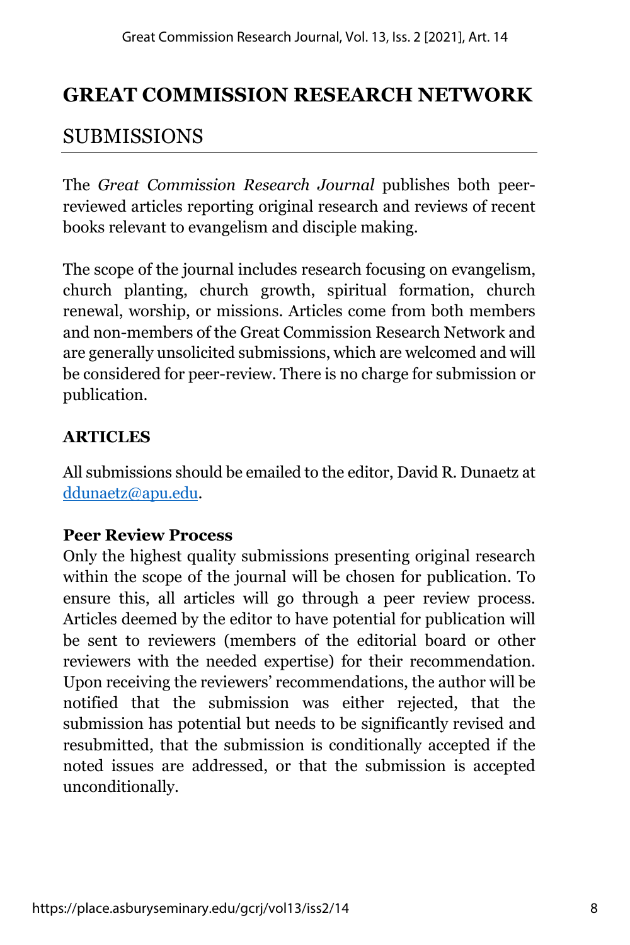### **GREAT COMMISSION RESEARCH NETWORK**

### SUBMISSIONS

The *Great Commission Research Journal* publishes both peerreviewed articles reporting original research and reviews of recent books relevant to evangelism and disciple making.

The scope of the journal includes research focusing on evangelism, church planting, church growth, spiritual formation, church renewal, worship, or missions. Articles come from both members and non-members of the Great Commission Research Network and are generally unsolicited submissions, which are welcomed and will be considered for peer-review. There is no charge for submission or publication.

### **ARTICLES**

All submissions should be emailed to the editor, David R. Dunaetz at ddunaetz@apu.edu.

### **Peer Review Process**

Only the highest quality submissions presenting original research within the scope of the journal will be chosen for publication. To ensure this, all articles will go through a peer review process. Articles deemed by the editor to have potential for publication will be sent to reviewers (members of the editorial board or other reviewers with the needed expertise) for their recommendation. Upon receiving the reviewers' recommendations, the author will be notified that the submission was either rejected, that the submission has potential but needs to be significantly revised and resubmitted, that the submission is conditionally accepted if the noted issues are addressed, or that the submission is accepted unconditionally.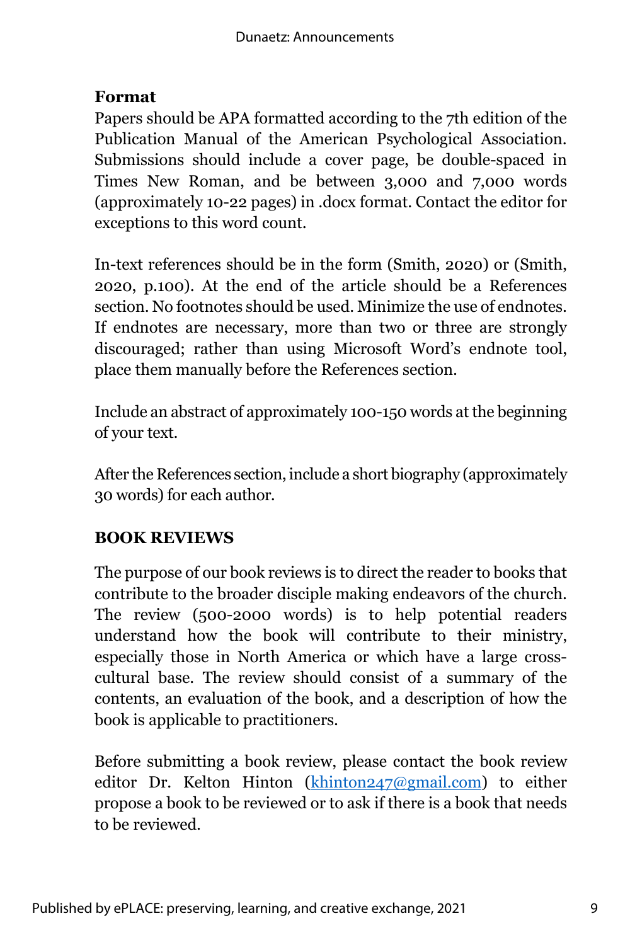#### **Format**

Papers should be APA formatted according to the 7th edition of the Publication Manual of the American Psychological Association. Submissions should include a cover page, be double-spaced in Times New Roman, and be between 3,000 and 7,000 words (approximately 10-22 pages) in .docx format. Contact the editor for exceptions to this word count.

In-text references should be in the form (Smith, 2020) or (Smith, 2020, p.100). At the end of the article should be a References section. No footnotes should be used. Minimize the use of endnotes. If endnotes are necessary, more than two or three are strongly discouraged; rather than using Microsoft Word's endnote tool, place them manually before the References section.

Include an abstract of approximately 100-150 words at the beginning of your text.

After the References section, include a short biography (approximately 30 words) for each author.

### **BOOK REVIEWS**

The purpose of our book reviews is to direct the reader to books that contribute to the broader disciple making endeavors of the church. The review (500-2000 words) is to help potential readers understand how the book will contribute to their ministry, especially those in North America or which have a large crosscultural base. The review should consist of a summary of the contents, an evaluation of the book, and a description of how the book is applicable to practitioners.

Before submitting a book review, please contact the book review editor Dr. Kelton Hinton (khinton247@gmail.com) to either propose a book to be reviewed or to ask if there is a book that needs to be reviewed.